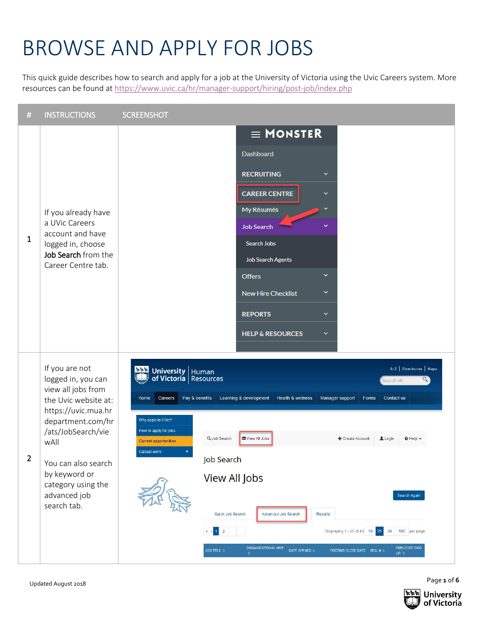## BROWSE AND APPLY FOR JOBS

This quick guide describes how to search and apply for a job at the University of Victoria using the Uvic Careers system. More resources can be found a[t https://www.uvic.ca/hr/manager-support/hiring/post-job/index.php](https://www.uvic.ca/hr/manager-support/hiring/post-job/index.php)



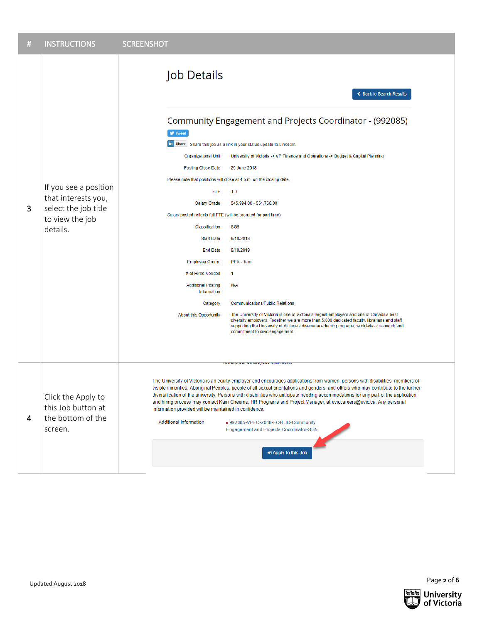| # | <b>INSTRUCTIONS</b>                                                                                 | <b>SCREENSHOT</b>                                                                                                                                                                                                                                                                                                                                                                                                                                                                                                                                                                                                                                                                                                                                                   |  |  |  |
|---|-----------------------------------------------------------------------------------------------------|---------------------------------------------------------------------------------------------------------------------------------------------------------------------------------------------------------------------------------------------------------------------------------------------------------------------------------------------------------------------------------------------------------------------------------------------------------------------------------------------------------------------------------------------------------------------------------------------------------------------------------------------------------------------------------------------------------------------------------------------------------------------|--|--|--|
| 3 | If you see a position<br>that interests you,<br>select the job title<br>to view the job<br>details. | Job Details<br>← Back to Search Results<br>Community Engagement and Projects Coordinator - (992085)<br>$\blacktriangleright$ Tweet<br>in Share Share this job as a link in your status update to LinkedIn.<br>Organizational Unit<br>University of Victoria -> VP Finance and Operations -> Budget & Capital Planning<br><b>Posting Close Date</b><br>29 June 2018<br>Please note that positions will close at 4 p.m. on the closing date.<br><b>FTE</b><br>1.0<br><b>Salary Grade</b><br>\$45,994.00 - \$51,766.00<br>Salary posted reflects full FTE (will be prorated for part time)<br>Classification<br>SG <sub>5</sub><br><b>Start Date</b><br>9/10/2018<br><b>End Date</b><br>9/10/2019<br><b>Employee Group:</b><br>PEA - Term                              |  |  |  |
|   |                                                                                                     | # of Hires Needed<br>$\mathbf{1}$<br><b>Additional Posting</b><br>N/A<br>Information<br><b>Communications/Public Relations</b><br>Category<br>The University of Victoria is one of Victoria's largest employers and one of Canada's best<br>About this Opportunity<br>diversity employers. Together we are more than 5,000 dedicated faculty, librarians and staff<br>supporting the University of Victoria's diverse academic programs, world-class research and<br>commitment to civic engagement.                                                                                                                                                                                                                                                                |  |  |  |
|   |                                                                                                     |                                                                                                                                                                                                                                                                                                                                                                                                                                                                                                                                                                                                                                                                                                                                                                     |  |  |  |
| 4 | Click the Apply to<br>this Job button at<br>the bottom of the<br>screen.                            | rumara uar umproyuus urun muru<br>The University of Victoria is an equity employer and encourages applications from women, persons with disabilities, members of<br>visible minorities, Aboriginal Peoples, people of all sexual orientations and genders, and others who may contribute to the further<br>diversification of the university. Persons with disabilities who anticipate needing accommodations for any part of the application<br>and hiring process may contact Kam Cheema, HR Programs and Project Manager, at uviccareers@uvic.ca. Any personal<br>information provided will be maintained in confidence.<br><b>Additional Information</b><br>992085-VPFO-2018-FOR JD-Community<br>Engagement and Projects Coordinator-SG5<br>D Apply to this Job |  |  |  |

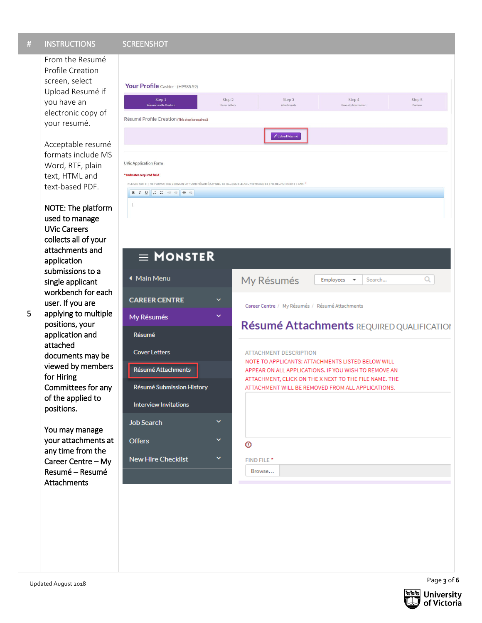From the Resumé Profile Creation screen, select Upload Resumé if you have an electronic copy of your resumé.

Acceptable resumé formats include MS Word, RTF, plain text, HTML and text -based PDF.

NOTE: The platform used to manage UVic Careers collects all of your attachments and application submissions to a single applicant workbench for each user. If you are applying to multiple positions, your application and attached documents may be viewed by members for Hiring

Committees for any of the applied to positions.

You may manage your attachments at any time from the Career Centre – My Resumé – Resumé Attachment s





Page **3** of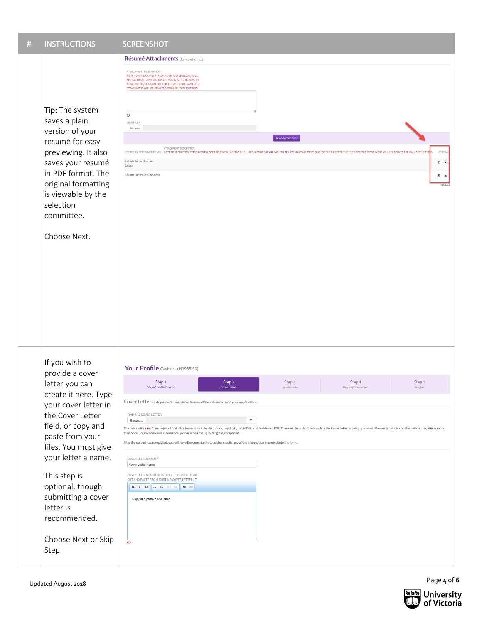| <b>INSTRUCTIONS</b><br>#                                                                                                                                                                                                                                                                                                               | <b>SCREENSHOT</b>                                                                                                                                                                                                                                                                                                                                                                                                                                                                                                                                                                                                                                                                                                                                                                                                                                                                                                                                                                                                                                          |
|----------------------------------------------------------------------------------------------------------------------------------------------------------------------------------------------------------------------------------------------------------------------------------------------------------------------------------------|------------------------------------------------------------------------------------------------------------------------------------------------------------------------------------------------------------------------------------------------------------------------------------------------------------------------------------------------------------------------------------------------------------------------------------------------------------------------------------------------------------------------------------------------------------------------------------------------------------------------------------------------------------------------------------------------------------------------------------------------------------------------------------------------------------------------------------------------------------------------------------------------------------------------------------------------------------------------------------------------------------------------------------------------------------|
| Tip: The system<br>saves a plain<br>version of your<br>resumé for easy<br>previewing. It also<br>saves your resumé<br>in PDF format. The<br>original formatting<br>is viewable by the<br>selection<br>committee.<br>Choose Next.                                                                                                       | Résumé Attachments Belinda Fontes<br>ATTACHMENT DESCRIPTION<br>NOTE TO APPLICANTS: ATTACHMENTS LISTED BELOW WILL<br>APPEAR ON ALL APPLICATIONS. IF YOU WISH TO REMOVE AN<br>ATTACHMENT, CLICK ON THE X NEXT TO THE FILE NAME. THE<br>ATTACHMENT WILL BE REMOVED FROM ALL APPLICATIONS.<br>$\odot$<br>FIND FILE *<br>Browse<br>Add Attachment<br>ATTACHMENT DESCRIPTION<br>RESUME/CV ATTACHMENT NAME NOTE TO APPLICANTS: ATTACHMENTS LISTED BELOW WILL APPEAR ON ALL APPLICATIONS. IF YOU WISH TO REMOVE AN ATTACHMENT, CLICK ON THE X NEXT TO THE FILE NAME. THE ATTACHMENT WILL BE REMOVED FROM ALL APP<br><b>ACTION</b><br>Belinda Fontes Resume<br>$\circledcirc$<br>$\boldsymbol{\mathsf{x}}$<br>2.docx<br>Belinda Fontes Resume.docx<br>$\odot$ x<br>v15.1.0.3                                                                                                                                                                                                                                                                                        |
| If you wish to<br>provide a cover<br>letter you can<br>create it here. Type<br>your cover letter in<br>the Cover Letter<br>field, or copy and<br>paste from your<br>files. You must give<br>your letter a name.<br>This step is<br>optional, though<br>submitting a cover<br>letter is<br>recommended.<br>Choose Next or Skip<br>Step. | Your Profile Cashier - (H9985.59)<br>Step 1<br>Step 2<br>Step 3<br>Step 4<br>Step 5<br>Résumé Profile Creation<br>Preview<br><b>Diversity Information</b><br>Attachments<br>Cover Letters (Any attachments listed below will be submitted with your application.)<br>FIND THE COVER LETTER:<br>÷<br>Browse<br>The fields with a red * are required. Valid file formats include .doc, .docx, .wpd, .rtf, .txt, HTML, and text-based PDF. There will be a short delay while the Cover Letter is being uploaded. Please do not click on the but<br>than once. This window will automatically close when the uploading has completed.<br>After the upload has completed, you will have the opportunity to add or modify any of the information imported into the form.<br><b>COVER LETTER NAME*</b><br><b>Cover Letter Name</b><br><b>COVER LETTER CONTENTS (TYPE TEXT IN FIELD OR</b><br>CUT AND PASTE FROM EXISTING COVER LETTER.) *<br><b>B</b> $I$ <b>U</b> $ $ <b>E E</b> $ $ <b>E E @</b> $\otimes$<br>Copy and paste cover letter<br>$\overline{\odot}$ |

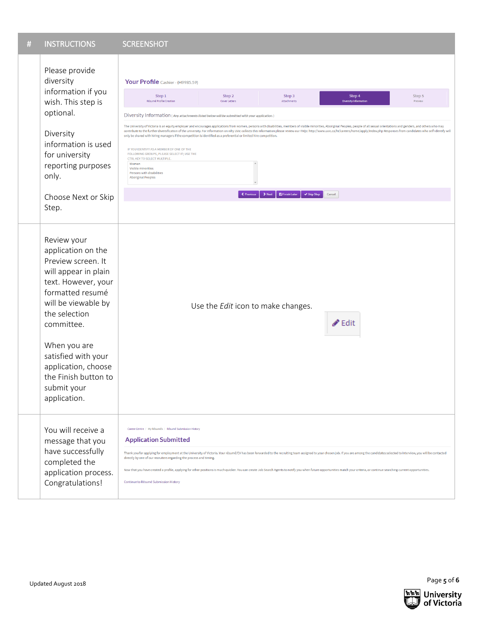| # | <b>INSTRUCTIONS</b>                                                                                                                                                                                                                                                                                   | <b>SCREENSHOT</b>                                                                                                                                                                                                                                                                                                                                                                                                                                                                                                                                                                                                                                                                                                                                                                                           |                         |                       |                                       |                   |  |
|---|-------------------------------------------------------------------------------------------------------------------------------------------------------------------------------------------------------------------------------------------------------------------------------------------------------|-------------------------------------------------------------------------------------------------------------------------------------------------------------------------------------------------------------------------------------------------------------------------------------------------------------------------------------------------------------------------------------------------------------------------------------------------------------------------------------------------------------------------------------------------------------------------------------------------------------------------------------------------------------------------------------------------------------------------------------------------------------------------------------------------------------|-------------------------|-----------------------|---------------------------------------|-------------------|--|
|   | Please provide<br>diversity<br>information if you<br>wish. This step is<br>optional.<br>Diversity<br>information is used<br>for university<br>reporting purposes<br>only.                                                                                                                             | Your Profile Cashier - (H9985.59)                                                                                                                                                                                                                                                                                                                                                                                                                                                                                                                                                                                                                                                                                                                                                                           |                         |                       |                                       |                   |  |
|   |                                                                                                                                                                                                                                                                                                       | Step 1<br>Résumé Profile Creation                                                                                                                                                                                                                                                                                                                                                                                                                                                                                                                                                                                                                                                                                                                                                                           | Step 2<br>Cover Letters | Step 3<br>Attachments | Step 4<br><b>Diversity Informatio</b> | Step 5<br>Preview |  |
|   |                                                                                                                                                                                                                                                                                                       | Diversity Information (Any attachments listed below will be submitted with your application.)                                                                                                                                                                                                                                                                                                                                                                                                                                                                                                                                                                                                                                                                                                               |                         |                       |                                       |                   |  |
|   |                                                                                                                                                                                                                                                                                                       | The University of Victoria is an equity employer and encourages applications from women, persons with disabilities, members of visible minorities, Aboriginal Peoples, people of all sexual orientations and genders, and othe<br>contribute to the further diversification of the university. For information on why UVic collects this information please review our FAQs: http://www.uvic.ca/hr/careers/home/apply/index.php Responses from candidates who se<br>only be shared with hiring managers if the competition is identified as a preferential or limited hire competition<br>IF YOU IDENTIFY AS A MEMBER OF ONE OF THE<br>FOLLOWING GROUPS, PLEASE SELECT IT; USE THE<br>CTRL KEY TO SELECT MULTIPLE.<br>Women<br>Visible minorities<br>Persons with disabilities<br><b>Aboriginal Peoples</b> |                         |                       |                                       |                   |  |
|   | Choose Next or Skip<br>Step.                                                                                                                                                                                                                                                                          | <b>图 Finish Later</b><br>← Previous<br>$\blacktriangleright$ Next<br>$\blacktriangleright$ Skip Step<br>Cancel                                                                                                                                                                                                                                                                                                                                                                                                                                                                                                                                                                                                                                                                                              |                         |                       |                                       |                   |  |
|   |                                                                                                                                                                                                                                                                                                       |                                                                                                                                                                                                                                                                                                                                                                                                                                                                                                                                                                                                                                                                                                                                                                                                             |                         |                       |                                       |                   |  |
|   | Review your<br>application on the<br>Preview screen. It<br>will appear in plain<br>text. However, your<br>formatted resumé<br>will be viewable by<br>the selection<br>committee.<br>When you are<br>satisfied with your<br>application, choose<br>the Finish button to<br>submit your<br>application. | Use the Edit icon to make changes.<br>$\triangle$ Edit                                                                                                                                                                                                                                                                                                                                                                                                                                                                                                                                                                                                                                                                                                                                                      |                         |                       |                                       |                   |  |
|   | You will receive a<br>message that you<br>have successfully<br>completed the<br>application process.<br>Congratulations!                                                                                                                                                                              | Career Centre / My Résumés / Résumé Submission History<br><b>Application Submitted</b><br>Thank you for applying for employment at the University of Victoria. Your résumé/CV has been forwarded to the recruiting team assigned to your chosen job. If you are among the candidates selected to interview, you will be<br>directly by one of our recruiters regarding the process and timing.<br>Now that you have created a profile, applying for other positions is much quicker. You can create Job Search Agents to notify you when future opportunities match your criteria, or continue searching current opportunities.<br>Continue to Résumé Submission History                                                                                                                                    |                         |                       |                                       |                   |  |
|   |                                                                                                                                                                                                                                                                                                       |                                                                                                                                                                                                                                                                                                                                                                                                                                                                                                                                                                                                                                                                                                                                                                                                             |                         |                       |                                       |                   |  |